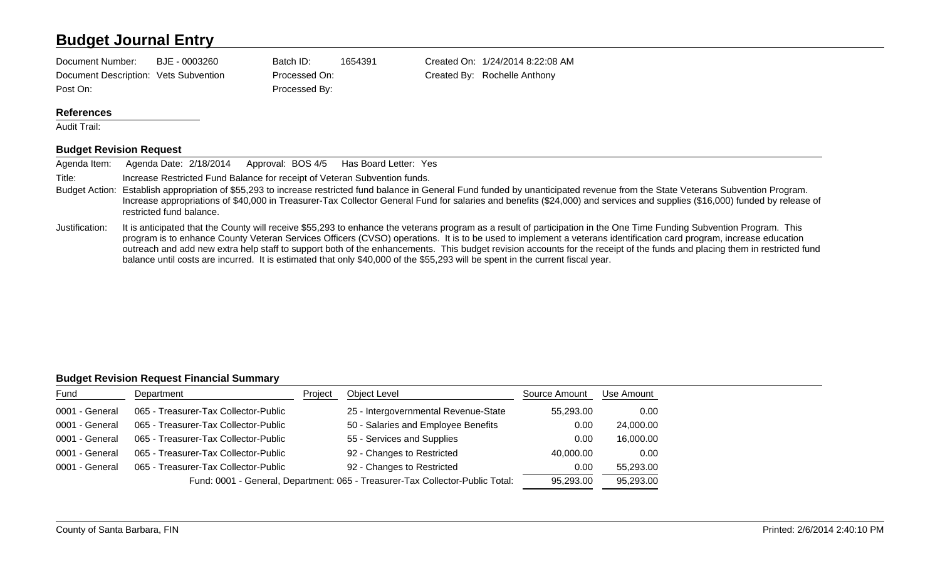## **Budget Journal Entry**

Document Description: Vets Subvention Processed On: Created By: Rochelle Anthony Post On: Processed By:

Document Number: BJE - 0003260 Batch ID: 1654391 Created On: 1/24/2014 8:22:08 AM

#### **References**

Audit Trail:

#### **Budget Revision Request**

| Agenda Item:   | Approval: BOS 4/5<br>Agenda Date: 2/18/2014<br>Has Board Letter: Yes                                                                                                                                                                                                                                                                                                                         |
|----------------|----------------------------------------------------------------------------------------------------------------------------------------------------------------------------------------------------------------------------------------------------------------------------------------------------------------------------------------------------------------------------------------------|
| Title:         | Increase Restricted Fund Balance for receipt of Veteran Subvention funds.                                                                                                                                                                                                                                                                                                                    |
|                | Budget Action: Establish appropriation of \$55,293 to increase restricted fund balance in General Fund funded by unanticipated revenue from the State Veterans Subvention Program.<br>Increase appropriations of \$40,000 in Treasurer-Tax Collector General Fund for salaries and benefits (\$24,000) and services and supplies (\$16,000) funded by release of<br>restricted fund balance. |
| Justification: | It is anticipated that the County will receive \$55,293 to enhance the veterans program as a result of participation in the One Time Funding Subvention Program. This                                                                                                                                                                                                                        |

program is to enhance County Veteran Services Officers (CVSO) operations. It is to be used to implement a veterans identification card program, increase education outreach and add new extra help staff to support both of the enhancements. This budget revision accounts for the receipt of the funds and placing them in restricted fund balance until costs are incurred. It is estimated that only \$40,000 of the \$55,293 will be spent in the current fiscal year.

#### **Budget Revision Request Financial Summary**

| Fund                                                                          | Department                           | Project   | Object Level                         | Source Amount | Use Amount |
|-------------------------------------------------------------------------------|--------------------------------------|-----------|--------------------------------------|---------------|------------|
| 0001 - General                                                                | 065 - Treasurer-Tax Collector-Public |           | 25 - Intergovernmental Revenue-State | 55,293.00     | 0.00       |
| 0001 - General                                                                | 065 - Treasurer-Tax Collector-Public |           | 50 - Salaries and Employee Benefits  | 0.00          | 24,000.00  |
| 0001 - General                                                                | 065 - Treasurer-Tax Collector-Public |           | 55 - Services and Supplies           | 0.00          | 16,000.00  |
| 0001 - General                                                                | 065 - Treasurer-Tax Collector-Public |           | 92 - Changes to Restricted           | 40,000.00     | 0.00       |
| 0001 - General                                                                | 065 - Treasurer-Tax Collector-Public |           | 92 - Changes to Restricted           | 0.00          | 55,293.00  |
| Fund: 0001 - General, Department: 065 - Treasurer-Tax Collector-Public Total: |                                      | 95,293.00 | 95,293.00                            |               |            |